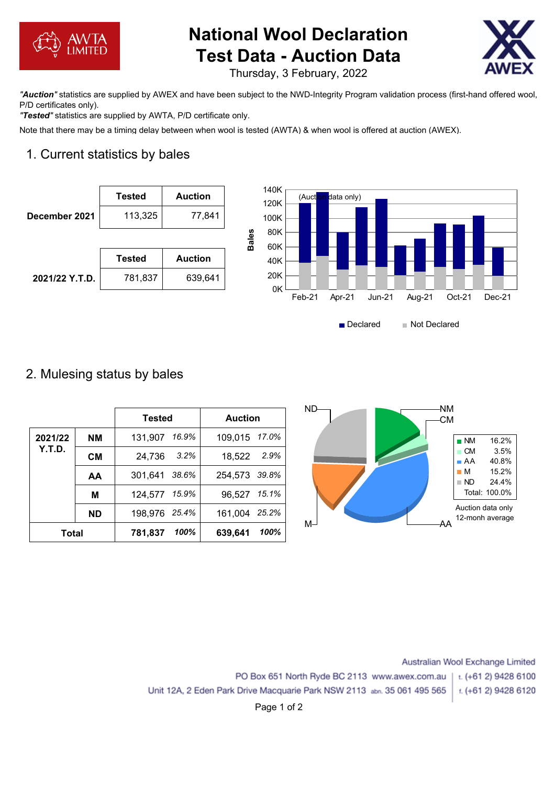

# **National Wool Declaration Test Data - Auction Data**



Thursday, 3 February, 2022

*"Auction"* statistics are supplied by AWEX and have been subject to the NWD-Integrity Program validation process (first-hand offered wool, P/D certificates only).

*"Tested"* statistics are supplied by AWTA, P/D certificate only.

Note that there may be a timing delay between when wool is tested (AWTA) & when wool is offered at auction (AWEX).

# 1. Current statistics by bales



### 2. Mulesing status by bales

|              |           | Tested           | <b>Auction</b>   | $ND-$ | -NM<br>-CM                            |
|--------------|-----------|------------------|------------------|-------|---------------------------------------|
| 2021/22      | <b>NM</b> | 16.9%<br>131,907 | 109,015 17.0%    |       | $\blacksquare$ NM                     |
| Y.T.D.       | <b>CM</b> | 3.2%<br>24,736   | 2.9%<br>18,522   |       | $\blacksquare$ CM<br>A                |
|              | AA        | 38.6%<br>301,641 | 39.8%<br>254,573 |       | $\blacksquare$ M<br>$\blacksquare$ ND |
|              | M         | 15.9%<br>124,577 | 15.1%<br>96,527  |       | Total: 100.0%                         |
|              | <b>ND</b> | 25.4%<br>198,976 | 25.2%<br>161,004 |       | Auction data only<br>12-monh average  |
| <b>Total</b> |           | 100%<br>781,837  | 100%<br>639,641  | $M-1$ | ΑA                                    |

Australian Wool Exchange Limited PO Box 651 North Ryde BC 2113 www.awex.com.au t. (+61 2) 9428 6100 Unit 12A, 2 Eden Park Drive Macquarie Park NSW 2113 abn. 35 061 495 565 t. (+61 2) 9428 6120

Declared Not Declared

Page 1 of 2